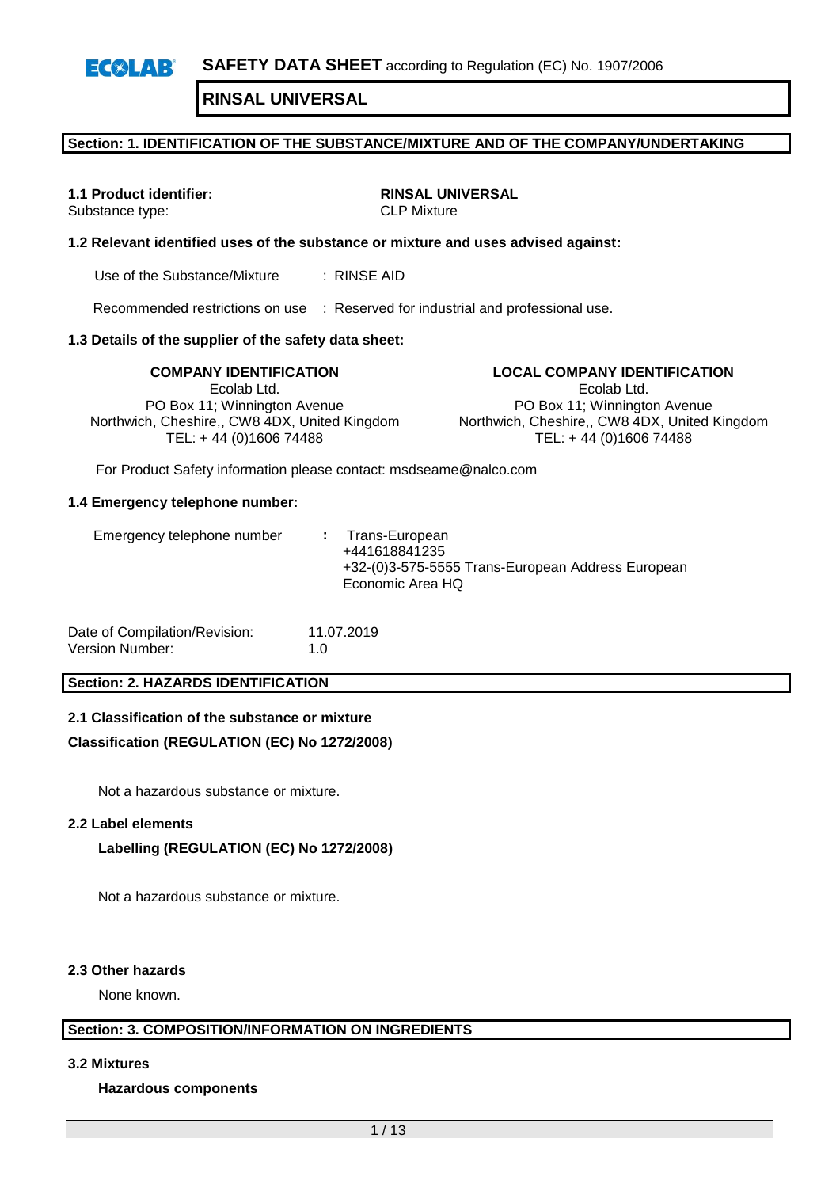#### **Section: 1. IDENTIFICATION OF THE SUBSTANCE/MIXTURE AND OF THE COMPANY/UNDERTAKING**

Substance type:

**1.1 Product identifier:** <br>
Substance type: <br>
CLP Mixture

#### **1.2 Relevant identified uses of the substance or mixture and uses advised against:**

Use of the Substance/Mixture : RINSE AID

Recommended restrictions on use : Reserved for industrial and professional use.

#### **1.3 Details of the supplier of the safety data sheet:**

Ecolab Ltd. PO Box 11; Winnington Avenue Northwich, Cheshire,, CW8 4DX, United Kingdom TEL: + 44 (0)1606 74488

**COMPANY IDENTIFICATION LOCAL COMPANY IDENTIFICATION** Ecolab Ltd. PO Box 11; Winnington Avenue Northwich, Cheshire,, CW8 4DX, United Kingdom TEL: + 44 (0)1606 74488

For Product Safety information please contact: msdseame@nalco.com

#### **1.4 Emergency telephone number:**

| Date of Compilation/Revision: | 11.07.2019 |
|-------------------------------|------------|
| Version Number:               | 1.0        |

#### **Section: 2. HAZARDS IDENTIFICATION**

#### **2.1 Classification of the substance or mixture**

#### **Classification (REGULATION (EC) No 1272/2008)**

Not a hazardous substance or mixture.

#### **2.2 Label elements**

#### **Labelling (REGULATION (EC) No 1272/2008)**

Not a hazardous substance or mixture.

#### **2.3 Other hazards**

None known.

#### **Section: 3. COMPOSITION/INFORMATION ON INGREDIENTS**

**3.2 Mixtures**

#### **Hazardous components**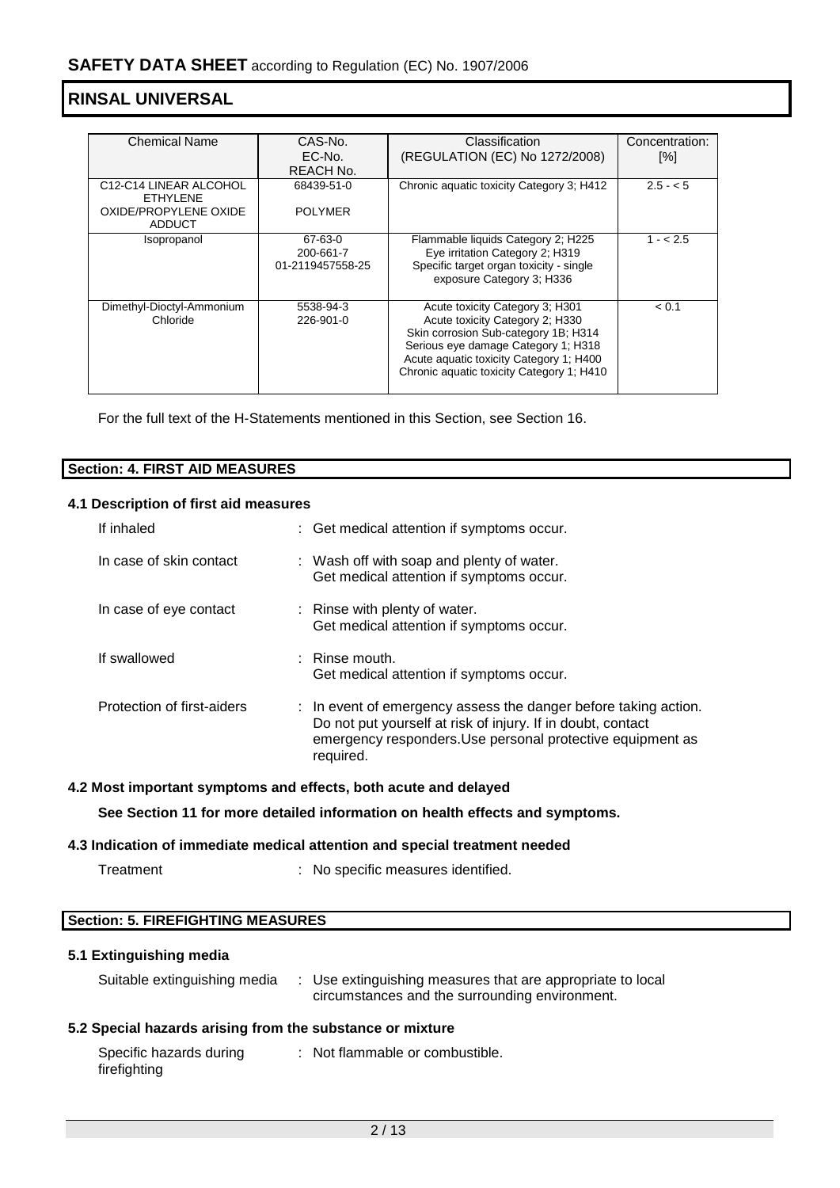| <b>Chemical Name</b>                                         | CAS-No.                                  | Classification                                                                                                                                                                                                                            | Concentration: |
|--------------------------------------------------------------|------------------------------------------|-------------------------------------------------------------------------------------------------------------------------------------------------------------------------------------------------------------------------------------------|----------------|
|                                                              | EC-No.                                   | (REGULATION (EC) No 1272/2008)                                                                                                                                                                                                            | [%]            |
|                                                              | REACH No.                                |                                                                                                                                                                                                                                           |                |
| C <sub>12</sub> -C <sub>14</sub> LINEAR ALCOHOL<br>FTHYI FNF | 68439-51-0                               | Chronic aquatic toxicity Category 3; H412                                                                                                                                                                                                 | $2.5 - 5$      |
| OXIDE/PROPYLENE OXIDE<br>ADDUCT                              | <b>POLYMER</b>                           |                                                                                                                                                                                                                                           |                |
| Isopropanol                                                  | 67-63-0<br>200-661-7<br>01-2119457558-25 | Flammable liquids Category 2; H225<br>Eye irritation Category 2; H319<br>Specific target organ toxicity - single<br>exposure Category 3; H336                                                                                             | $1 - 2.5$      |
| Dimethyl-Dioctyl-Ammonium<br>Chloride                        | 5538-94-3<br>226-901-0                   | Acute toxicity Category 3; H301<br>Acute toxicity Category 2; H330<br>Skin corrosion Sub-category 1B; H314<br>Serious eye damage Category 1; H318<br>Acute aquatic toxicity Category 1; H400<br>Chronic aquatic toxicity Category 1; H410 | < 0.1          |

For the full text of the H-Statements mentioned in this Section, see Section 16.

| Sect<br><b>FIRST AID MEASURES</b><br>tion: .<br>4. I |  |
|------------------------------------------------------|--|
|                                                      |  |

#### **4.1 Description of first aid measures**

| If inhaled                 | : Get medical attention if symptoms occur.                                                                                                                                                                |
|----------------------------|-----------------------------------------------------------------------------------------------------------------------------------------------------------------------------------------------------------|
| In case of skin contact    | : Wash off with soap and plenty of water.<br>Get medical attention if symptoms occur.                                                                                                                     |
| In case of eye contact     | : Rinse with plenty of water.<br>Get medical attention if symptoms occur.                                                                                                                                 |
| If swallowed               | $\therefore$ Rinse mouth.<br>Get medical attention if symptoms occur.                                                                                                                                     |
| Protection of first-aiders | : In event of emergency assess the danger before taking action.<br>Do not put yourself at risk of injury. If in doubt, contact<br>emergency responders. Use personal protective equipment as<br>required. |

#### **4.2 Most important symptoms and effects, both acute and delayed**

**See Section 11 for more detailed information on health effects and symptoms.**

#### **4.3 Indication of immediate medical attention and special treatment needed**

| Treatment |  |
|-----------|--|
|-----------|--|

: No specific measures identified.

#### **Section: 5. FIREFIGHTING MEASURES**

#### **5.1 Extinguishing media**

| Suitable extinguishing media | Use extinguishing measures that are appropriate to local<br>circumstances and the surrounding environment. |
|------------------------------|------------------------------------------------------------------------------------------------------------|
|                              |                                                                                                            |

#### **5.2 Special hazards arising from the substance or mixture**

| Specific hazards during | : Not flammable or combustible. |
|-------------------------|---------------------------------|
| firefighting            |                                 |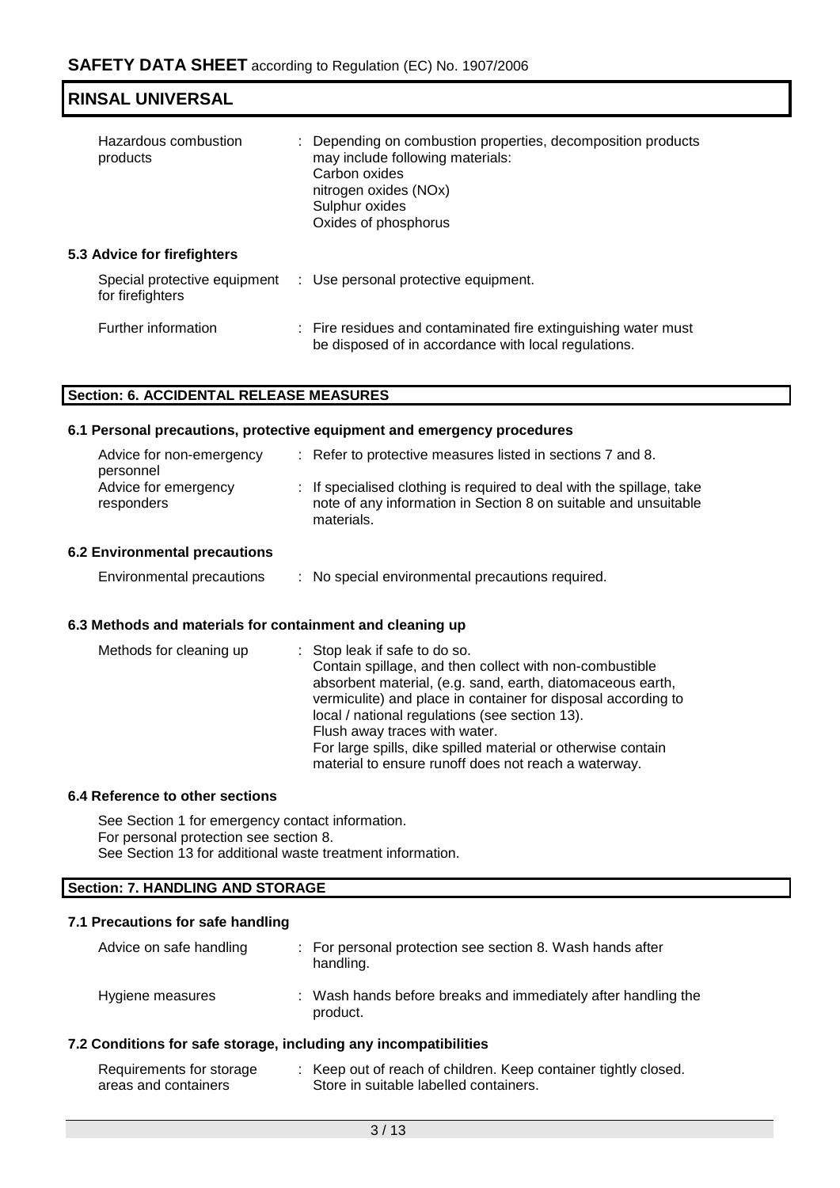| <b>RINSAL UNIVERSAL</b>                          |                                                                                                                                                                                      |
|--------------------------------------------------|--------------------------------------------------------------------------------------------------------------------------------------------------------------------------------------|
| Hazardous combustion<br>products                 | : Depending on combustion properties, decomposition products<br>may include following materials:<br>Carbon oxides<br>nitrogen oxides (NOx)<br>Sulphur oxides<br>Oxides of phosphorus |
| 5.3 Advice for firefighters                      |                                                                                                                                                                                      |
| Special protective equipment<br>for firefighters | : Use personal protective equipment.                                                                                                                                                 |
| Further information                              | : Fire residues and contaminated fire extinguishing water must<br>be disposed of in accordance with local regulations.                                                               |

#### **Section: 6. ACCIDENTAL RELEASE MEASURES**

#### **6.1 Personal precautions, protective equipment and emergency procedures**

| Advice for non-emergency<br>personnel | : Refer to protective measures listed in sections 7 and 8.                                                                                             |
|---------------------------------------|--------------------------------------------------------------------------------------------------------------------------------------------------------|
| Advice for emergency<br>responders    | : If specialised clothing is required to deal with the spillage, take<br>note of any information in Section 8 on suitable and unsuitable<br>materials. |

#### **6.2 Environmental precautions**

#### **6.3 Methods and materials for containment and cleaning up**

| Methods for cleaning up | : Stop leak if safe to do so.<br>Contain spillage, and then collect with non-combustible<br>absorbent material, (e.g. sand, earth, diatomaceous earth,<br>vermiculite) and place in container for disposal according to<br>local / national regulations (see section 13).<br>Flush away traces with water.<br>For large spills, dike spilled material or otherwise contain<br>material to ensure runoff does not reach a waterway. |
|-------------------------|------------------------------------------------------------------------------------------------------------------------------------------------------------------------------------------------------------------------------------------------------------------------------------------------------------------------------------------------------------------------------------------------------------------------------------|
|-------------------------|------------------------------------------------------------------------------------------------------------------------------------------------------------------------------------------------------------------------------------------------------------------------------------------------------------------------------------------------------------------------------------------------------------------------------------|

#### **6.4 Reference to other sections**

See Section 1 for emergency contact information. For personal protection see section 8. See Section 13 for additional waste treatment information.

# **Section: 7. HANDLING AND STORAGE**

#### **7.1 Precautions for safe handling**

| Advice on safe handling | : For personal protection see section 8. Wash hands after<br>handling.    |
|-------------------------|---------------------------------------------------------------------------|
| Hygiene measures        | : Wash hands before breaks and immediately after handling the<br>product. |

#### **7.2 Conditions for safe storage, including any incompatibilities**

| Requirements for storage | Keep out of reach of children. Keep container tightly closed. |
|--------------------------|---------------------------------------------------------------|
| areas and containers     | Store in suitable labelled containers.                        |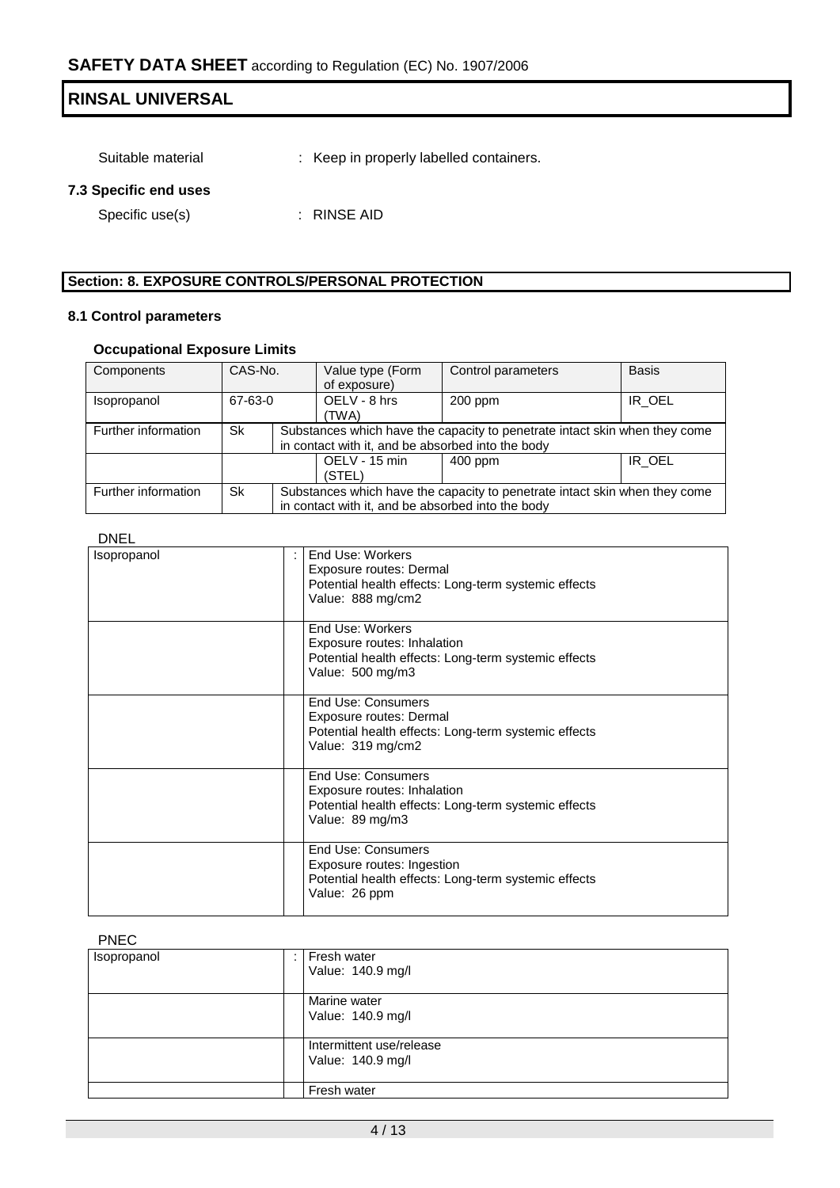Suitable material : Keep in properly labelled containers.

#### **7.3 Specific end uses**

Specific use(s) : RINSE AID

#### **Section: 8. EXPOSURE CONTROLS/PERSONAL PROTECTION**

#### **8.1 Control parameters**

#### **Occupational Exposure Limits**

| Components          | CAS-No. |                                                                            | Value type (Form                                                           | Control parameters | <b>Basis</b> |  |
|---------------------|---------|----------------------------------------------------------------------------|----------------------------------------------------------------------------|--------------------|--------------|--|
|                     |         |                                                                            | of exposure)                                                               |                    |              |  |
| <i>Isopropanol</i>  | 67-63-0 |                                                                            | OELV - 8 hrs                                                               | $200$ ppm          | IR OEL       |  |
|                     |         |                                                                            | (TWA)                                                                      |                    |              |  |
| Further information | Sk      |                                                                            | Substances which have the capacity to penetrate intact skin when they come |                    |              |  |
|                     |         |                                                                            | in contact with it, and be absorbed into the body                          |                    |              |  |
|                     |         |                                                                            | OELV - 15 min                                                              | $400$ ppm          | IR OEL       |  |
|                     |         |                                                                            | (STEL)                                                                     |                    |              |  |
| Further information | Sk      | Substances which have the capacity to penetrate intact skin when they come |                                                                            |                    |              |  |
|                     |         |                                                                            | in contact with it, and be absorbed into the body                          |                    |              |  |

#### DNEL

| <b>Isopropanol</b> | End Use: Workers<br>Exposure routes: Dermal<br>Potential health effects: Long-term systemic effects<br>Value: 888 mg/cm2     |
|--------------------|------------------------------------------------------------------------------------------------------------------------------|
|                    | End Use: Workers<br>Exposure routes: Inhalation<br>Potential health effects: Long-term systemic effects<br>Value: 500 mg/m3  |
|                    | End Use: Consumers<br>Exposure routes: Dermal<br>Potential health effects: Long-term systemic effects<br>Value: 319 mg/cm2   |
|                    | End Use: Consumers<br>Exposure routes: Inhalation<br>Potential health effects: Long-term systemic effects<br>Value: 89 mg/m3 |
|                    | End Use: Consumers<br>Exposure routes: Ingestion<br>Potential health effects: Long-term systemic effects<br>Value: 26 ppm    |

#### PNEC

| Isopropanol | Fresh water<br>Value: 140.9 mg/l              |
|-------------|-----------------------------------------------|
|             | Marine water<br>Value: 140.9 mg/l             |
|             | Intermittent use/release<br>Value: 140.9 mg/l |
|             | Fresh water                                   |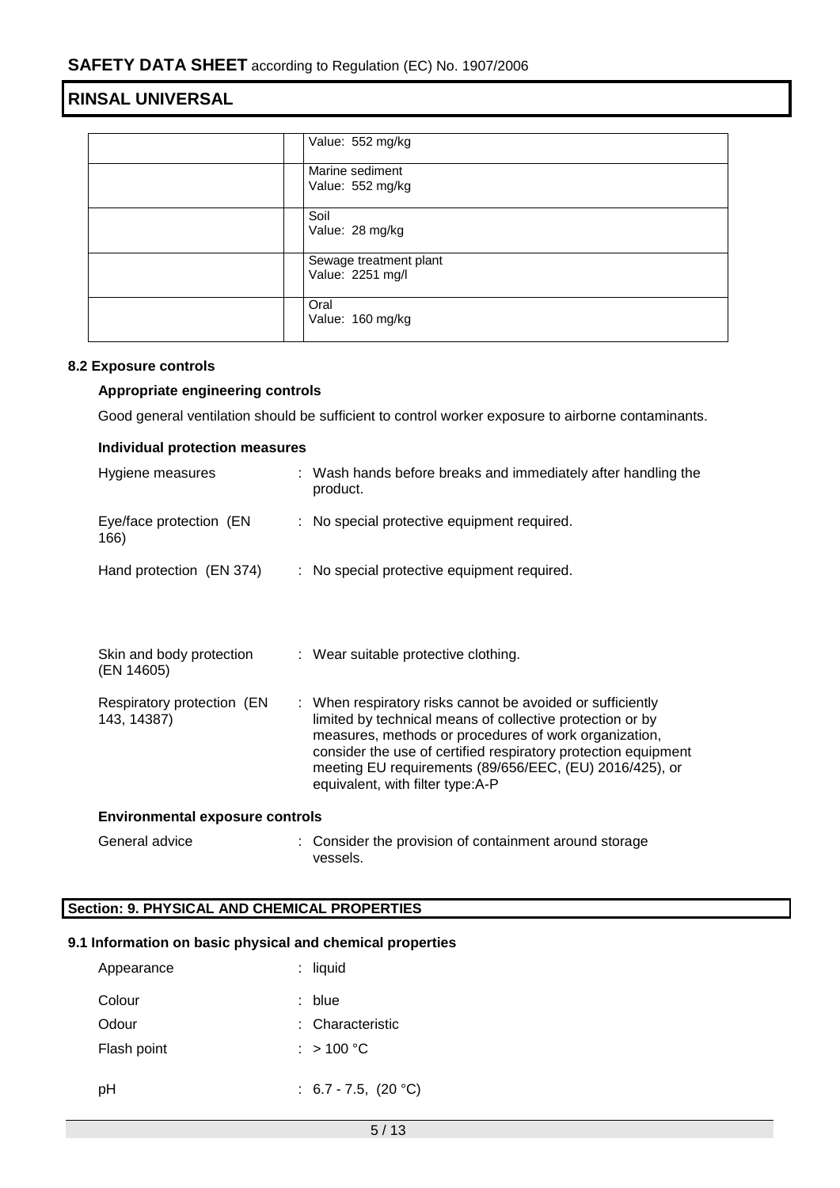| Value: 552 mg/kg                           |
|--------------------------------------------|
| Marine sediment<br>Value: 552 mg/kg        |
| Soil<br>Value: 28 mg/kg                    |
| Sewage treatment plant<br>Value: 2251 mg/l |
| Oral<br>Value: 160 mg/kg                   |

#### **8.2 Exposure controls**

#### **Appropriate engineering controls**

Good general ventilation should be sufficient to control worker exposure to airborne contaminants.

| Individual protection measures             |                                                                                                                                                                                                                                                                                                                                                   |  |  |  |
|--------------------------------------------|---------------------------------------------------------------------------------------------------------------------------------------------------------------------------------------------------------------------------------------------------------------------------------------------------------------------------------------------------|--|--|--|
| Hygiene measures                           | : Wash hands before breaks and immediately after handling the<br>product.                                                                                                                                                                                                                                                                         |  |  |  |
| Eye/face protection (EN<br>166)            | : No special protective equipment required.                                                                                                                                                                                                                                                                                                       |  |  |  |
| Hand protection (EN 374)                   | : No special protective equipment required.                                                                                                                                                                                                                                                                                                       |  |  |  |
|                                            |                                                                                                                                                                                                                                                                                                                                                   |  |  |  |
| Skin and body protection<br>(EN 14605)     | : Wear suitable protective clothing.                                                                                                                                                                                                                                                                                                              |  |  |  |
| Respiratory protection (EN)<br>143, 14387) | : When respiratory risks cannot be avoided or sufficiently<br>limited by technical means of collective protection or by<br>measures, methods or procedures of work organization,<br>consider the use of certified respiratory protection equipment<br>meeting EU requirements (89/656/EEC, (EU) 2016/425), or<br>equivalent, with filter type:A-P |  |  |  |
| <b>Environmental exposure controls</b>     |                                                                                                                                                                                                                                                                                                                                                   |  |  |  |
| General advice                             | Consider the provision of containment around storage                                                                                                                                                                                                                                                                                              |  |  |  |

# **Section: 9. PHYSICAL AND CHEMICAL PROPERTIES**

#### **9.1 Information on basic physical and chemical properties**

vessels.

| Appearance  | : liquid                  |
|-------------|---------------------------|
| Colour      | : blue                    |
| Odour       | : Characteristic          |
| Flash point | : $>100 °C$               |
|             |                           |
| рH          | : $6.7 - 7.5$ , $(20 °C)$ |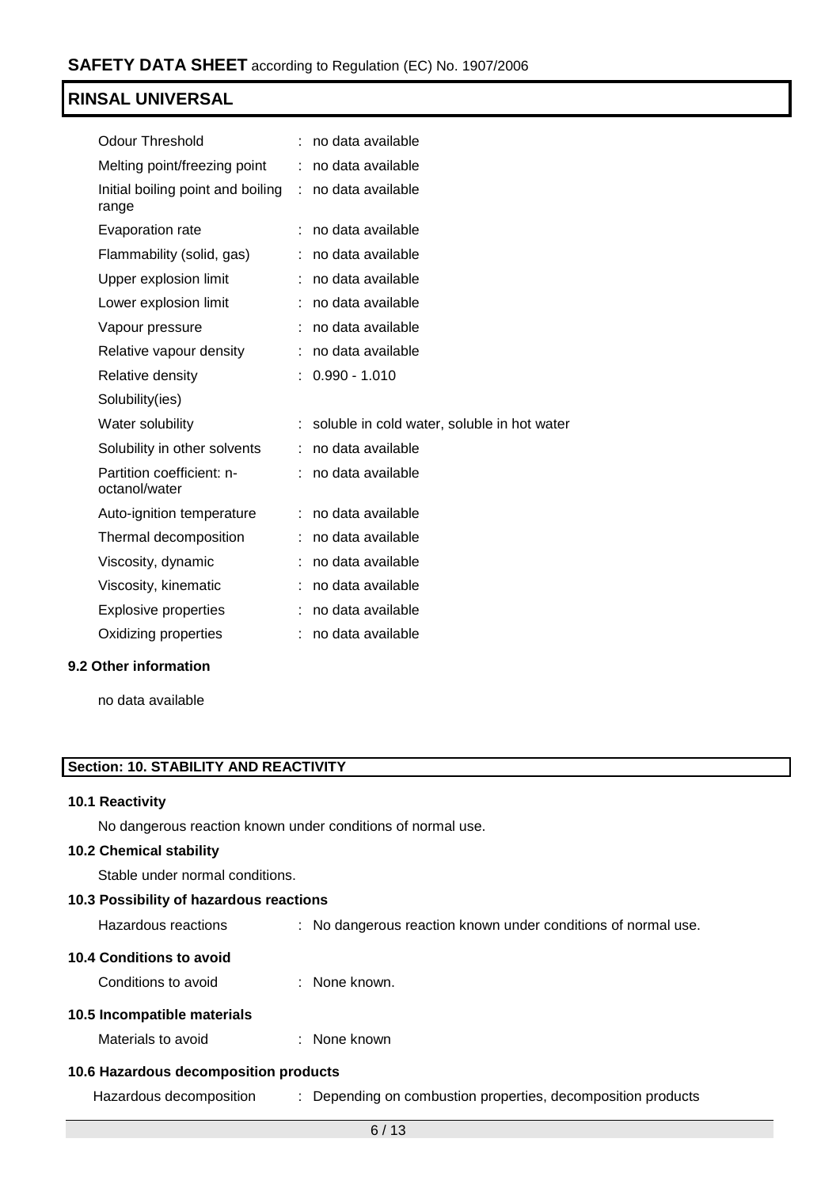| <b>Odour Threshold</b>                     |    | no data available                           |
|--------------------------------------------|----|---------------------------------------------|
| Melting point/freezing point               |    | no data available                           |
| Initial boiling point and boiling<br>range | t. | no data available                           |
| Evaporation rate                           |    | no data available                           |
| Flammability (solid, gas)                  |    | no data available                           |
| Upper explosion limit                      |    | no data available                           |
| Lower explosion limit                      |    | no data available                           |
| Vapour pressure                            |    | no data available                           |
| Relative vapour density                    |    | no data available                           |
| Relative density                           |    | $0.990 - 1.010$                             |
| Solubility(ies)                            |    |                                             |
|                                            |    | soluble in cold water, soluble in hot water |
| Water solubility                           |    |                                             |
| Solubility in other solvents               |    | no data available                           |
| Partition coefficient: n-<br>octanol/water |    | no data available                           |
| Auto-ignition temperature                  |    | no data available                           |
| Thermal decomposition                      |    | no data available                           |
| Viscosity, dynamic                         |    | no data available                           |
| Viscosity, kinematic                       |    | no data available                           |
| <b>Explosive properties</b>                |    | no data available                           |
| Oxidizing properties                       |    | no data available                           |

#### **9.2 Other information**

no data available

#### **Section: 10. STABILITY AND REACTIVITY**

#### **10.1 Reactivity**

No dangerous reaction known under conditions of normal use.

#### **10.2 Chemical stability**

Stable under normal conditions.

#### **10.3 Possibility of hazardous reactions**

| Hazardous reactions |  |  | No dangerous reaction known under conditions of normal use. |  |  |  |  |
|---------------------|--|--|-------------------------------------------------------------|--|--|--|--|
|---------------------|--|--|-------------------------------------------------------------|--|--|--|--|

#### **10.4 Conditions to avoid**

Conditions to avoid : None known.

#### **10.5 Incompatible materials**

Materials to avoid : None known

#### **10.6 Hazardous decomposition products**

Hazardous decomposition : Depending on combustion properties, decomposition products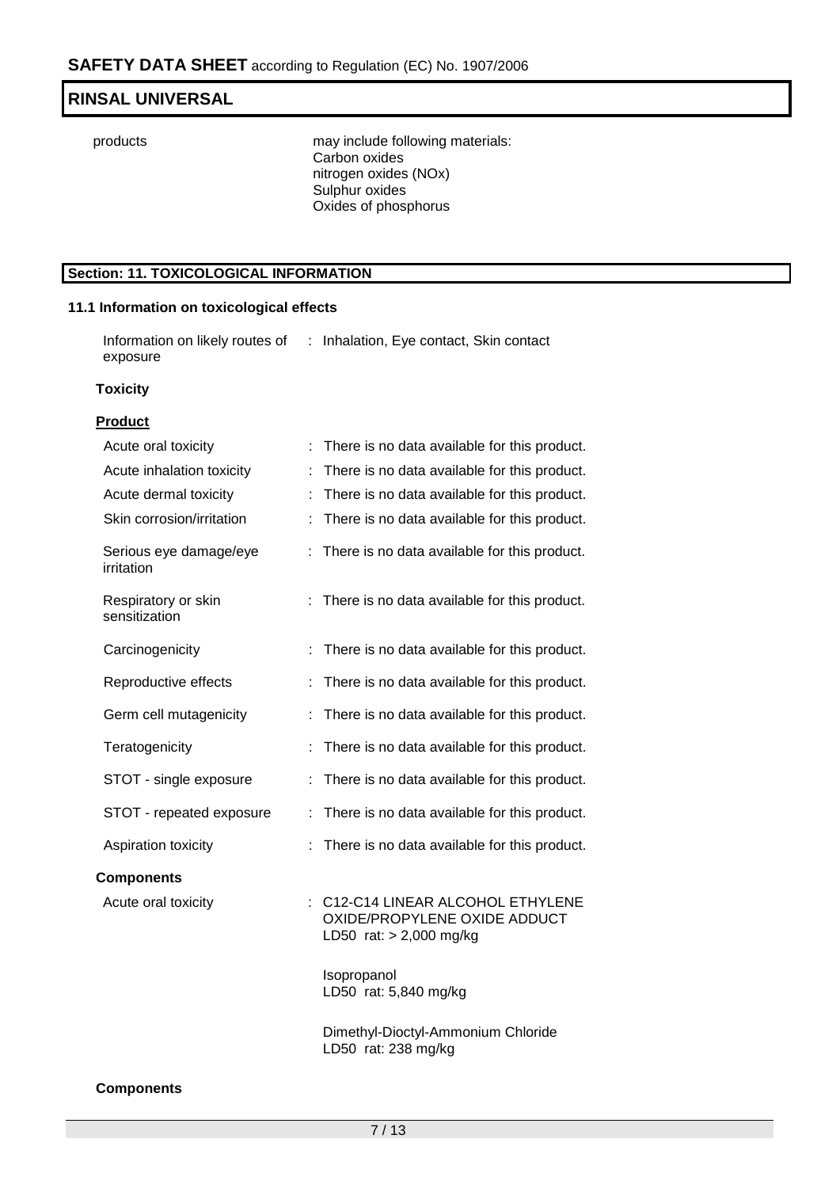products may include following materials: Carbon oxides nitrogen oxides (NOx) Sulphur oxides Oxides of phosphorus

#### **Section: 11. TOXICOLOGICAL INFORMATION**

#### **11.1 Information on toxicological effects**

Information on likely routes of : Inhalation, Eye contact, Skin contact exposure

#### **Toxicity**

#### **Product**

| Acute oral toxicity                  | There is no data available for this product.                                               |
|--------------------------------------|--------------------------------------------------------------------------------------------|
| Acute inhalation toxicity            | There is no data available for this product.<br>t.                                         |
| Acute dermal toxicity                | There is no data available for this product.                                               |
| Skin corrosion/irritation            | There is no data available for this product.                                               |
| Serious eye damage/eye<br>irritation | There is no data available for this product.                                               |
| Respiratory or skin<br>sensitization | There is no data available for this product.                                               |
| Carcinogenicity                      | There is no data available for this product.                                               |
| Reproductive effects                 | There is no data available for this product.                                               |
| Germ cell mutagenicity               | There is no data available for this product.                                               |
| Teratogenicity                       | There is no data available for this product.                                               |
| STOT - single exposure               | There is no data available for this product.                                               |
| STOT - repeated exposure             | There is no data available for this product.<br>t.                                         |
| Aspiration toxicity                  | There is no data available for this product.                                               |
| <b>Components</b>                    |                                                                                            |
| Acute oral toxicity                  | C12-C14 LINEAR ALCOHOL ETHYLENE<br>OXIDE/PROPYLENE OXIDE ADDUCT<br>LD50 rat: > 2,000 mg/kg |
|                                      | Isopropanol<br>LD50 rat: 5,840 mg/kg                                                       |
|                                      | Dimethyl-Dioctyl-Ammonium Chloride<br>LD50 rat: 238 mg/kg                                  |

#### **Components**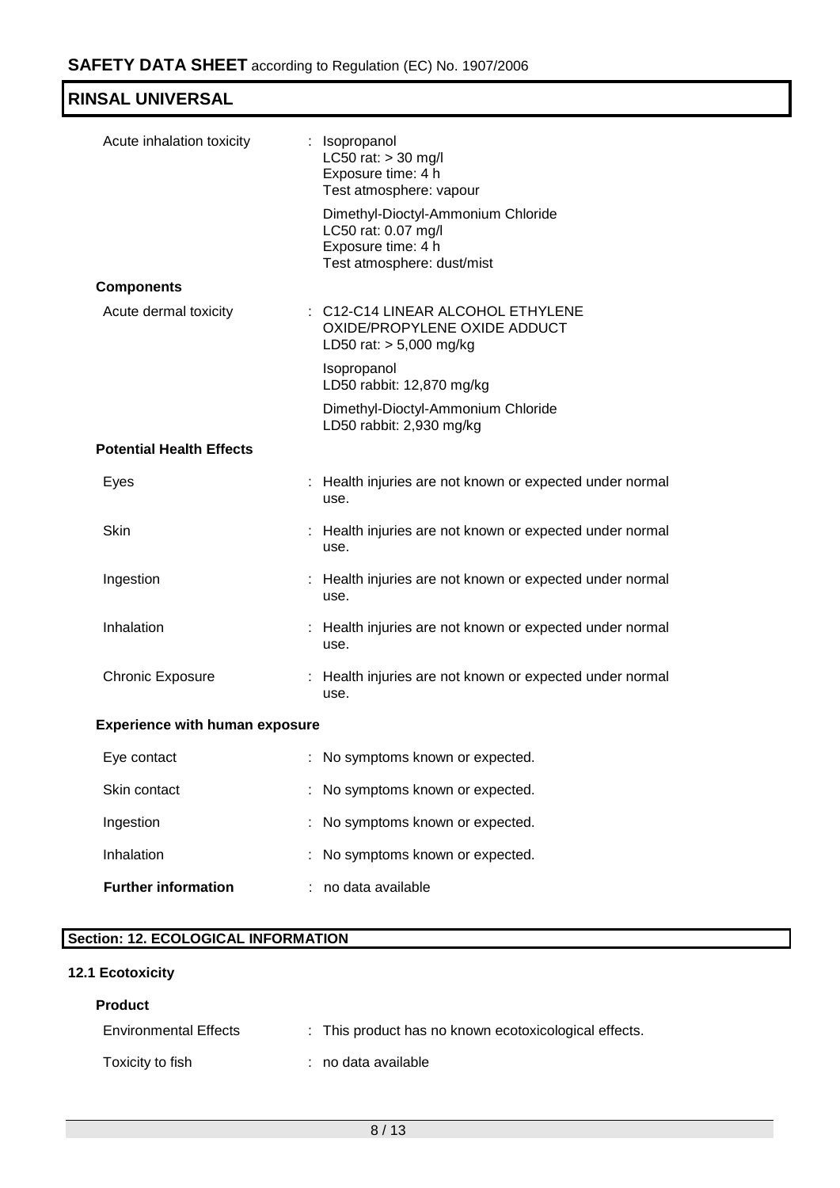| Acute inhalation toxicity             | : Isopropanol<br>LC50 rat: > 30 mg/l<br>Exposure time: 4 h<br>Test atmosphere: vapour                         |
|---------------------------------------|---------------------------------------------------------------------------------------------------------------|
|                                       | Dimethyl-Dioctyl-Ammonium Chloride<br>LC50 rat: 0.07 mg/l<br>Exposure time: 4 h<br>Test atmosphere: dust/mist |
| <b>Components</b>                     |                                                                                                               |
| Acute dermal toxicity                 | : C12-C14 LINEAR ALCOHOL ETHYLENE<br>OXIDE/PROPYLENE OXIDE ADDUCT<br>LD50 rat: > 5,000 mg/kg                  |
|                                       | Isopropanol<br>LD50 rabbit: 12,870 mg/kg                                                                      |
|                                       | Dimethyl-Dioctyl-Ammonium Chloride<br>LD50 rabbit: 2,930 mg/kg                                                |
| <b>Potential Health Effects</b>       |                                                                                                               |
| Eyes                                  | : Health injuries are not known or expected under normal<br>use.                                              |
| Skin                                  | : Health injuries are not known or expected under normal<br>use.                                              |
| Ingestion                             | : Health injuries are not known or expected under normal<br>use.                                              |
| Inhalation                            | : Health injuries are not known or expected under normal<br>use.                                              |
| <b>Chronic Exposure</b>               | : Health injuries are not known or expected under normal<br>use.                                              |
| <b>Experience with human exposure</b> |                                                                                                               |
| Eye contact                           | : No symptoms known or expected.                                                                              |
| Skin contact                          | No symptoms known or expected.                                                                                |
| Ingestion                             | No symptoms known or expected.                                                                                |

Inhalation : No symptoms known or expected.

| <b>Further information</b> | no data available |
|----------------------------|-------------------|
|                            |                   |

# **Section: 12. ECOLOGICAL INFORMATION**

# **12.1 Ecotoxicity**

#### **Product**

| <b>Environmental Effects</b> | : This product has no known ecotoxicological effects. |
|------------------------------|-------------------------------------------------------|
| Toxicity to fish             | : no data available                                   |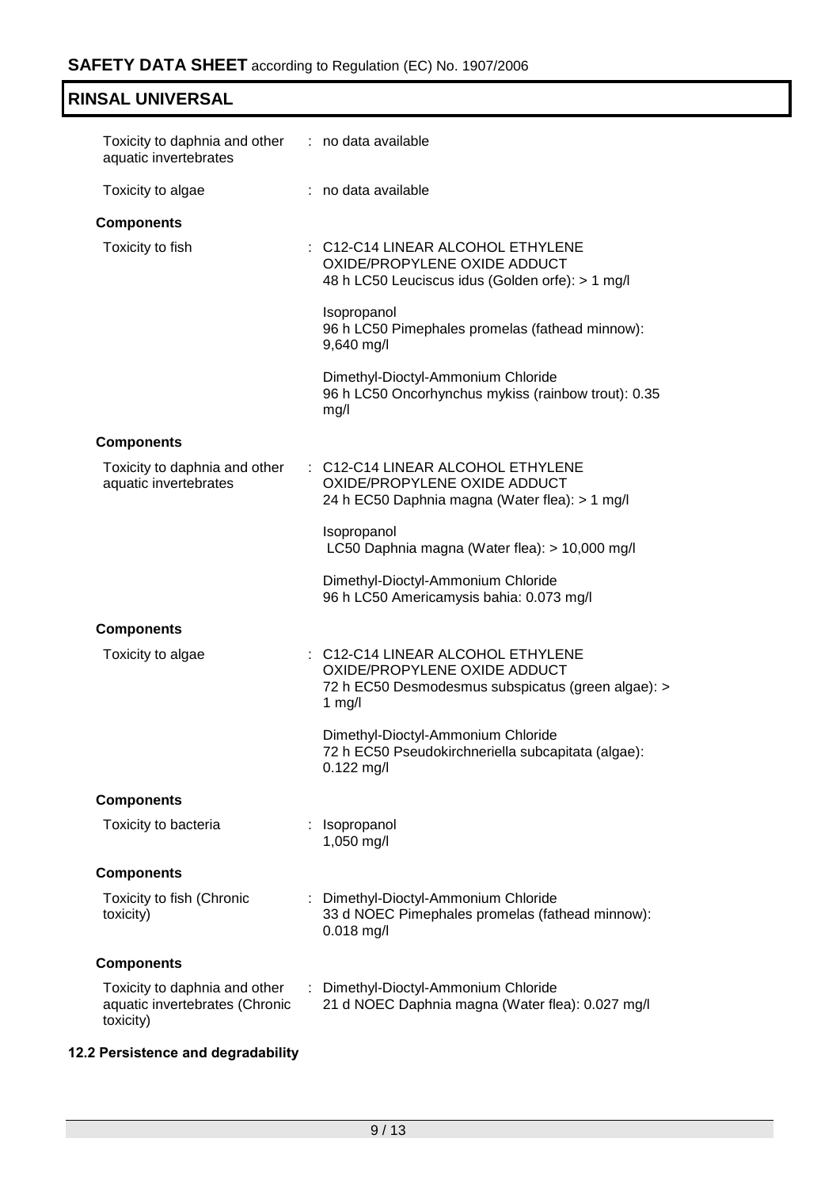| Toxicity to daphnia and other : no data available<br>aquatic invertebrates   |                                                                                                                                     |
|------------------------------------------------------------------------------|-------------------------------------------------------------------------------------------------------------------------------------|
| Toxicity to algae                                                            | : no data available                                                                                                                 |
| <b>Components</b>                                                            |                                                                                                                                     |
| Toxicity to fish                                                             | : C12-C14 LINEAR ALCOHOL ETHYLENE<br>OXIDE/PROPYLENE OXIDE ADDUCT<br>48 h LC50 Leuciscus idus (Golden orfe): > 1 mg/l               |
|                                                                              | Isopropanol<br>96 h LC50 Pimephales promelas (fathead minnow):<br>9,640 mg/l                                                        |
|                                                                              | Dimethyl-Dioctyl-Ammonium Chloride<br>96 h LC50 Oncorhynchus mykiss (rainbow trout): 0.35<br>mg/l                                   |
| <b>Components</b>                                                            |                                                                                                                                     |
| Toxicity to daphnia and other<br>aquatic invertebrates                       | : C12-C14 LINEAR ALCOHOL ETHYLENE<br>OXIDE/PROPYLENE OXIDE ADDUCT<br>24 h EC50 Daphnia magna (Water flea): > 1 mg/l                 |
|                                                                              | Isopropanol<br>LC50 Daphnia magna (Water flea): > 10,000 mg/l                                                                       |
|                                                                              | Dimethyl-Dioctyl-Ammonium Chloride<br>96 h LC50 Americamysis bahia: 0.073 mg/l                                                      |
| <b>Components</b>                                                            |                                                                                                                                     |
| Toxicity to algae                                                            | : C12-C14 LINEAR ALCOHOL ETHYLENE<br>OXIDE/PROPYLENE OXIDE ADDUCT<br>72 h EC50 Desmodesmus subspicatus (green algae): ><br>1 $mg/l$ |
|                                                                              | Dimethyl-Dioctyl-Ammonium Chloride<br>72 h EC50 Pseudokirchneriella subcapitata (algae):<br>$0.122$ mg/l                            |
| <b>Components</b>                                                            |                                                                                                                                     |
| Toxicity to bacteria                                                         | Isopropanol<br>1,050 mg/l                                                                                                           |
| <b>Components</b>                                                            |                                                                                                                                     |
| Toxicity to fish (Chronic<br>toxicity)                                       | Dimethyl-Dioctyl-Ammonium Chloride<br>33 d NOEC Pimephales promelas (fathead minnow):<br>$0.018$ mg/l                               |
| <b>Components</b>                                                            |                                                                                                                                     |
| Toxicity to daphnia and other<br>aquatic invertebrates (Chronic<br>toxicity) | : Dimethyl-Dioctyl-Ammonium Chloride<br>21 d NOEC Daphnia magna (Water flea): 0.027 mg/l                                            |

# **12.2 Persistence and degradability**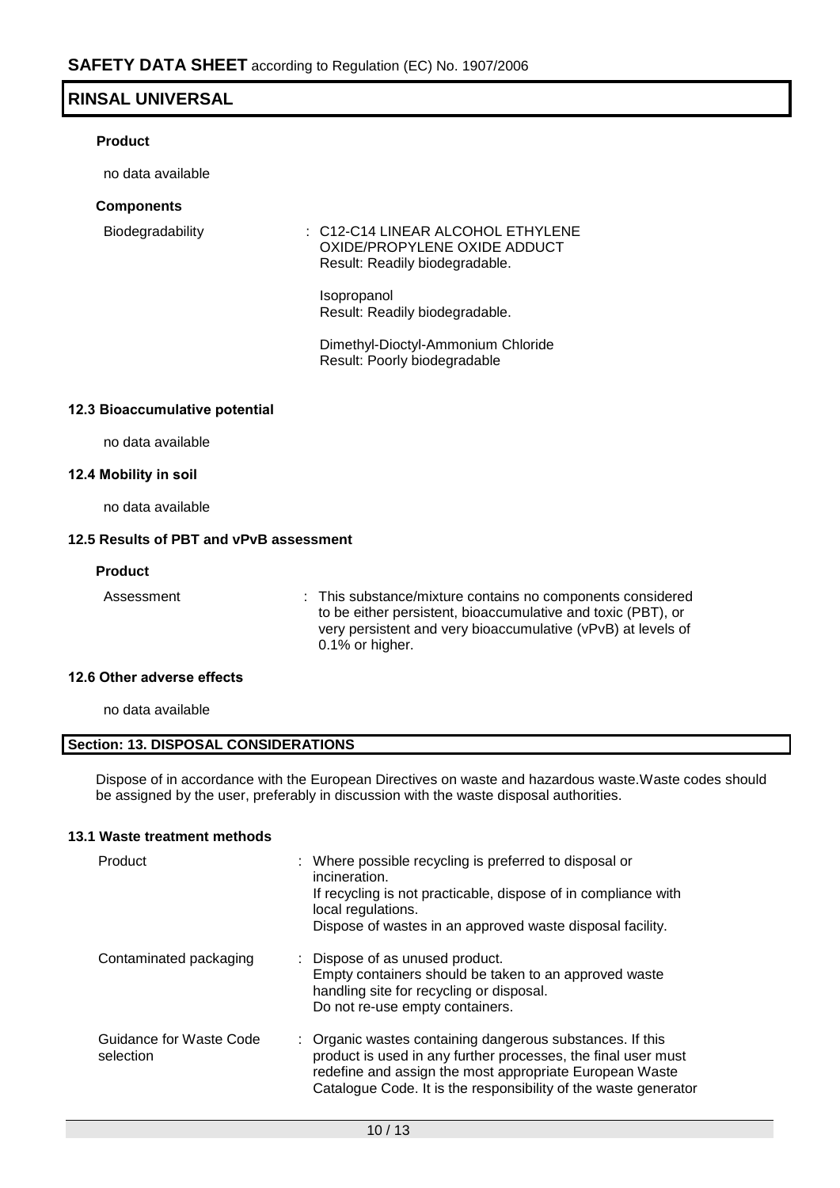#### **Product**

no data available

#### **Components**

Biodegradability : C12-C14 LINEAR ALCOHOL ETHYLENE OXIDE/PROPYLENE OXIDE ADDUCT Result: Readily biodegradable.

> Isopropanol Result: Readily biodegradable.

Dimethyl-Dioctyl-Ammonium Chloride Result: Poorly biodegradable

#### **12.3 Bioaccumulative potential**

no data available

#### **12.4 Mobility in soil**

no data available

#### **12.5 Results of PBT and vPvB assessment**

#### **Product**

Assessment : This substance/mixture contains no components considered to be either persistent, bioaccumulative and toxic (PBT), or very persistent and very bioaccumulative (vPvB) at levels of 0.1% or higher.

#### **12.6 Other adverse effects**

no data available

#### **Section: 13. DISPOSAL CONSIDERATIONS**

Dispose of in accordance with the European Directives on waste and hazardous waste.Waste codes should be assigned by the user, preferably in discussion with the waste disposal authorities.

#### **13.1 Waste treatment methods**

| Product                              | : Where possible recycling is preferred to disposal or<br>incineration.<br>If recycling is not practicable, dispose of in compliance with<br>local regulations.<br>Dispose of wastes in an approved waste disposal facility.                             |
|--------------------------------------|----------------------------------------------------------------------------------------------------------------------------------------------------------------------------------------------------------------------------------------------------------|
| Contaminated packaging               | : Dispose of as unused product.<br>Empty containers should be taken to an approved waste<br>handling site for recycling or disposal.<br>Do not re-use empty containers.                                                                                  |
| Guidance for Waste Code<br>selection | : Organic wastes containing dangerous substances. If this<br>product is used in any further processes, the final user must<br>redefine and assign the most appropriate European Waste<br>Catalogue Code. It is the responsibility of the waste generator |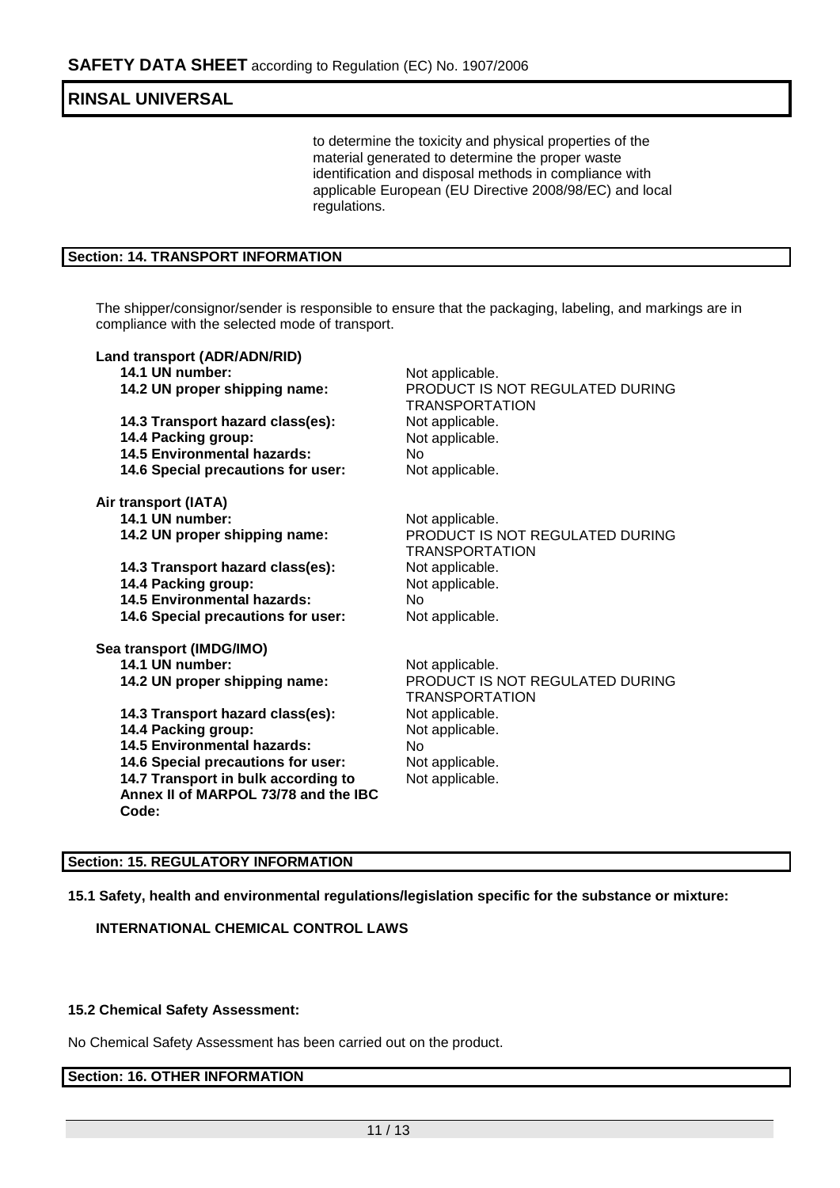to determine the toxicity and physical properties of the material generated to determine the proper waste identification and disposal methods in compliance with applicable European (EU Directive 2008/98/EC) and local regulations.

#### **Section: 14. TRANSPORT INFORMATION**

The shipper/consignor/sender is responsible to ensure that the packaging, labeling, and markings are in compliance with the selected mode of transport.

| Land transport (ADR/ADN/RID)         |                                                          |
|--------------------------------------|----------------------------------------------------------|
| 14.1 UN number:                      | Not applicable.                                          |
| 14.2 UN proper shipping name:        | PRODUCT IS NOT REGULATED DURING<br><b>TRANSPORTATION</b> |
| 14.3 Transport hazard class(es):     | Not applicable.                                          |
| 14.4 Packing group:                  | Not applicable.                                          |
| <b>14.5 Environmental hazards:</b>   | No                                                       |
| 14.6 Special precautions for user:   | Not applicable.                                          |
| Air transport (IATA)                 |                                                          |
| 14.1 UN number:                      | Not applicable.                                          |
| 14.2 UN proper shipping name:        | PRODUCT IS NOT REGULATED DURING<br><b>TRANSPORTATION</b> |
| 14.3 Transport hazard class(es):     | Not applicable.                                          |
| 14.4 Packing group:                  | Not applicable.                                          |
| <b>14.5 Environmental hazards:</b>   | <b>No</b>                                                |
| 14.6 Special precautions for user:   | Not applicable.                                          |
| Sea transport (IMDG/IMO)             |                                                          |
| 14.1 UN number:                      | Not applicable.                                          |
| 14.2 UN proper shipping name:        | PRODUCT IS NOT REGULATED DURING<br><b>TRANSPORTATION</b> |
| 14.3 Transport hazard class(es):     | Not applicable.                                          |
| 14.4 Packing group:                  | Not applicable.                                          |
| <b>14.5 Environmental hazards:</b>   | No.                                                      |
| 14.6 Special precautions for user:   | Not applicable.                                          |
| 14.7 Transport in bulk according to  | Not applicable.                                          |
| Annex II of MARPOL 73/78 and the IBC |                                                          |
| Code:                                |                                                          |
|                                      |                                                          |

#### **Section: 15. REGULATORY INFORMATION**

**15.1 Safety, health and environmental regulations/legislation specific for the substance or mixture:**

**INTERNATIONAL CHEMICAL CONTROL LAWS**

#### **15.2 Chemical Safety Assessment:**

No Chemical Safety Assessment has been carried out on the product.

#### **Section: 16. OTHER INFORMATION**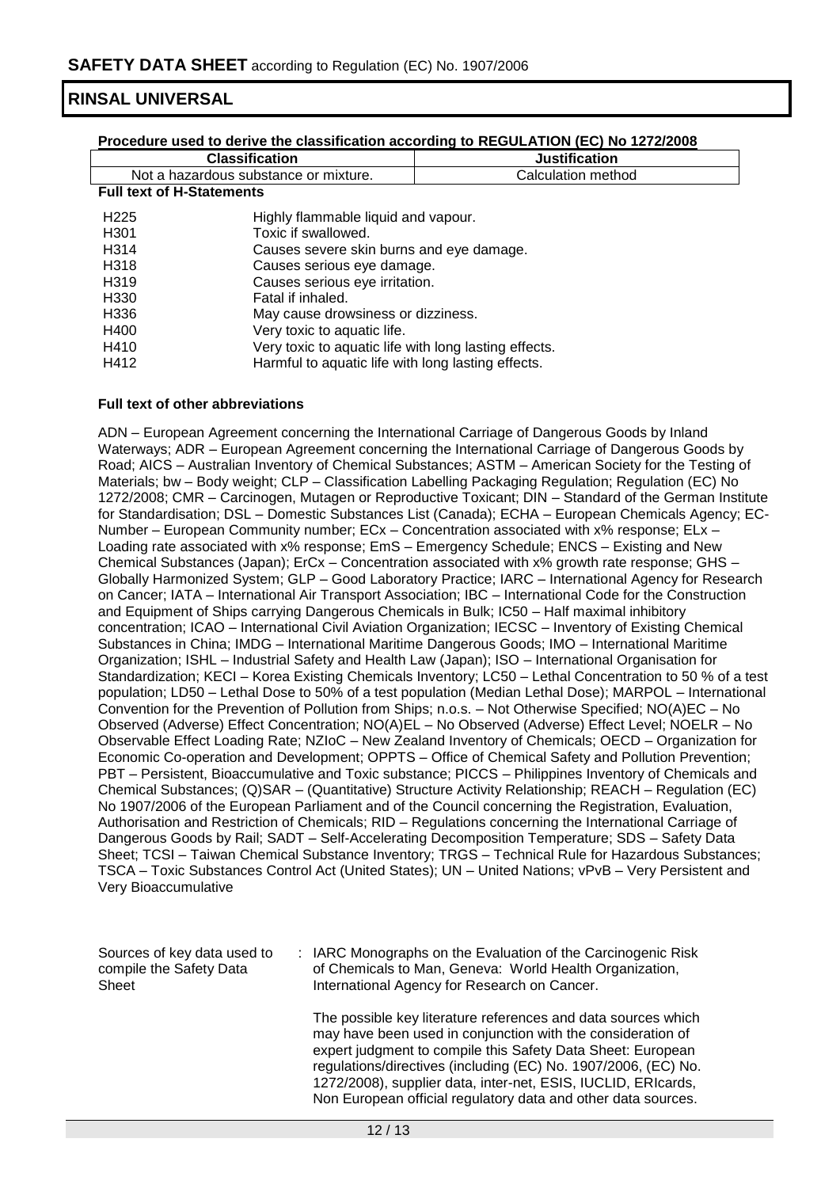| Procedure used to derive the classification according to REGULATION (EC) No 1272/2008 |                                                       |                                          |  |
|---------------------------------------------------------------------------------------|-------------------------------------------------------|------------------------------------------|--|
|                                                                                       | <b>Classification</b>                                 | <b>Justification</b>                     |  |
| Not a hazardous substance or mixture.                                                 |                                                       | Calculation method                       |  |
| <b>Full text of H-Statements</b>                                                      |                                                       |                                          |  |
| H <sub>225</sub>                                                                      | Highly flammable liquid and vapour.                   |                                          |  |
| H <sub>301</sub>                                                                      | Toxic if swallowed.                                   |                                          |  |
| H314                                                                                  |                                                       | Causes severe skin burns and eye damage. |  |
| H318                                                                                  |                                                       | Causes serious eye damage.               |  |
| H <sub>3</sub> 19                                                                     |                                                       | Causes serious eye irritation.           |  |
| H330                                                                                  | Fatal if inhaled.                                     |                                          |  |
| H336                                                                                  | May cause drowsiness or dizziness.                    |                                          |  |
| H400                                                                                  | Very toxic to aquatic life.                           |                                          |  |
| H410                                                                                  | Very toxic to aquatic life with long lasting effects. |                                          |  |
| H412<br>Harmful to aquatic life with long lasting effects.                            |                                                       |                                          |  |

#### **Full text of other abbreviations**

ADN – European Agreement concerning the International Carriage of Dangerous Goods by Inland Waterways; ADR – European Agreement concerning the International Carriage of Dangerous Goods by Road; AICS – Australian Inventory of Chemical Substances; ASTM – American Society for the Testing of Materials; bw - Body weight; CLP - Classification Labelling Packaging Regulation; Regulation (EC) No 1272/2008; CMR – Carcinogen, Mutagen or Reproductive Toxicant; DIN – Standard of the German Institute for Standardisation; DSL – Domestic Substances List (Canada); ECHA – European Chemicals Agency; EC-Number – European Community number; ECx – Concentration associated with x% response; ELx – Loading rate associated with x% response; EmS – Emergency Schedule; ENCS – Existing and New Chemical Substances (Japan); ErCx – Concentration associated with x% growth rate response; GHS – Globally Harmonized System; GLP – Good Laboratory Practice; IARC – International Agency for Research on Cancer; IATA – International Air Transport Association; IBC – International Code for the Construction and Equipment of Ships carrying Dangerous Chemicals in Bulk; IC50 – Half maximal inhibitory concentration; ICAO – International Civil Aviation Organization; IECSC – Inventory of Existing Chemical Substances in China; IMDG – International Maritime Dangerous Goods; IMO – International Maritime Organization; ISHL – Industrial Safety and Health Law (Japan); ISO – International Organisation for Standardization; KECI – Korea Existing Chemicals Inventory; LC50 – Lethal Concentration to 50 % of a test population; LD50 – Lethal Dose to 50% of a test population (Median Lethal Dose); MARPOL – International Convention for the Prevention of Pollution from Ships; n.o.s. – Not Otherwise Specified; NO(A)EC – No Observed (Adverse) Effect Concentration; NO(A)EL – No Observed (Adverse) Effect Level; NOELR – No Observable Effect Loading Rate; NZIoC – New Zealand Inventory of Chemicals; OECD – Organization for Economic Co-operation and Development; OPPTS – Office of Chemical Safety and Pollution Prevention; PBT – Persistent, Bioaccumulative and Toxic substance; PICCS – Philippines Inventory of Chemicals and Chemical Substances; (Q)SAR – (Quantitative) Structure Activity Relationship; REACH – Regulation (EC) No 1907/2006 of the European Parliament and of the Council concerning the Registration, Evaluation, Authorisation and Restriction of Chemicals; RID – Regulations concerning the International Carriage of Dangerous Goods by Rail; SADT – Self-Accelerating Decomposition Temperature; SDS – Safety Data Sheet; TCSI – Taiwan Chemical Substance Inventory; TRGS – Technical Rule for Hazardous Substances; TSCA – Toxic Substances Control Act (United States); UN – United Nations; vPvB – Very Persistent and Very Bioaccumulative

| Sources of key data used to<br>compile the Safety Data<br>Sheet | : IARC Monographs on the Evaluation of the Carcinogenic Risk<br>of Chemicals to Man, Geneva: World Health Organization,<br>International Agency for Research on Cancer.                                                                                                                                                        |
|-----------------------------------------------------------------|--------------------------------------------------------------------------------------------------------------------------------------------------------------------------------------------------------------------------------------------------------------------------------------------------------------------------------|
|                                                                 | The possible key literature references and data sources which<br>may have been used in conjunction with the consideration of<br>expert judgment to compile this Safety Data Sheet: European<br>regulations/directives (including (EC) No. 1907/2006, (EC) No.<br>1272/2008), supplier data, inter-net, ESIS, IUCLID, ERIcards, |

Non European official regulatory data and other data sources.